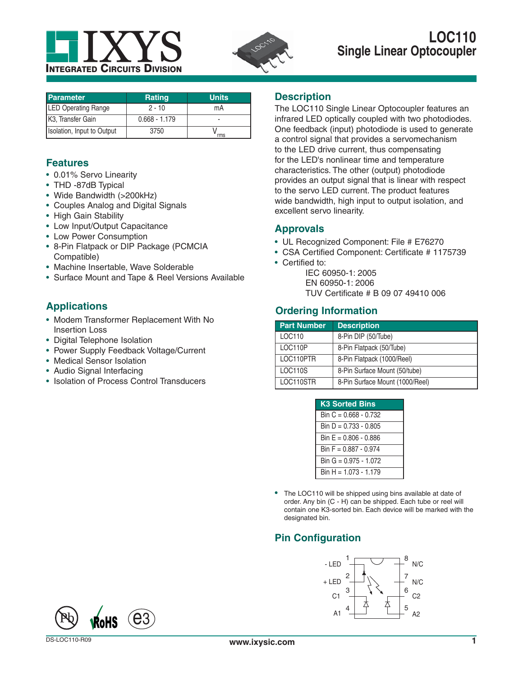



| <b>Parameter</b>               | <b>Rating</b>   | <b>Units</b> |
|--------------------------------|-----------------|--------------|
| <b>LED Operating Range</b>     | $2 - 10$        | mA           |
| K <sub>3</sub> , Transfer Gain | $0.668 - 1.179$ |              |
| Isolation, Input to Output     | 3750            | rms          |

## **Features**

- 0.01% Servo Linearity
- THD -87dB Typical
- Wide Bandwidth (>200kHz)
- Couples Analog and Digital Signals
- High Gain Stability
- Low Input/Output Capacitance
- Low Power Consumption
- 8-Pin Flatpack or DIP Package (PCMCIA Compatible)
- Machine Insertable, Wave Solderable
- Surface Mount and Tape & Reel Versions Available

# **Applications**

- Modem Transformer Replacement With No Insertion Loss
- Digital Telephone Isolation
- Power Supply Feedback Voltage/Current
- Medical Sensor Isolation
- Audio Signal Interfacing
- Isolation of Process Control Transducers

## **Description**

The LOC110 Single Linear Optocoupler features an infrared LED optically coupled with two photodiodes. One feedback (input) photodiode is used to generate a control signal that provides a servomechanism to the LED drive current, thus compensating for the LED's nonlinear time and temperature characteristics. The other (output) photodiode provides an output signal that is linear with respect to the servo LED current. The product features wide bandwidth, high input to output isolation, and excellent servo linearity.

## **Approvals**

- UL Recognized Component: File # E76270
- CSA Certified Component: Certificate # 1175739
- Certified to:

 IEC 60950-1: 2005 EN 60950-1: 2006 TUV Certificate # B 09 07 49410 006

## **Ordering Information**

| <b>Part Number</b> | <b>Description</b>              |
|--------------------|---------------------------------|
| LOC110             | 8-Pin DIP (50/Tube)             |
| LOC110P            | 8-Pin Flatpack (50/Tube)        |
| LOC110PTR          | 8-Pin Flatpack (1000/Reel)      |
| LOC110S            | 8-Pin Surface Mount (50/tube)   |
| LOC110STR          | 8-Pin Surface Mount (1000/Reel) |

| <b>K3 Sorted Bins</b>   |
|-------------------------|
| Bin $C = 0.668 - 0.732$ |
| Bin $D = 0.733 - 0.805$ |
| Bin $E = 0.806 - 0.886$ |
| Bin $F = 0.887 - 0.974$ |
| Bin G = $0.975 - 1.072$ |
| $Bin H = 1.073 - 1.179$ |

The LOC110 will be shipped using bins available at date of order. Any bin (C - H) can be shipped. Each tube or reel will contain one K3-sorted bin. Each device will be marked with the designated bin.

# **Pin Configuration**



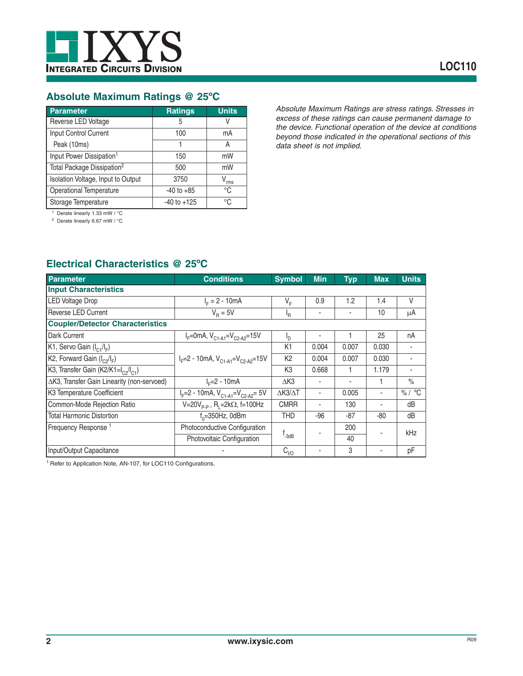

## **Absolute Maximum Ratings @ 25ºC**

| <b>Parameter</b>                       | <b>Ratings</b>  | <b>Units</b> |
|----------------------------------------|-----------------|--------------|
| Reverse LED Voltage                    | 5               |              |
| Input Control Current                  | 100             | mA           |
| Peak (10ms)                            |                 | А            |
| Input Power Dissipation <sup>1</sup>   | 150             | mW           |
| Total Package Dissipation <sup>2</sup> | 500             | mW           |
| Isolation Voltage, Input to Output     | 3750            | rms          |
| <b>Operational Temperature</b>         | $-40$ to $+85$  | °€           |
| Storage Temperature                    | $-40$ to $+125$ | $^{\circ}$ C |

*Absolute Maximum Ratings are stress ratings. Stresses in excess of these ratings can cause permanent damage to the device. Functional operation of the device at conditions beyond those indicated in the operational sections of this data sheet is not implied.*

1 Derate linearly 1.33 mW / °C

2 Derate linearly 6.67 mW / °C

## **Electrical Characteristics @ 25ºC**

| <b>Parameter</b>                                            | <b>Conditions</b>                                     | <b>Symbol</b>           | <b>Min</b> | <b>Typ</b> | <b>Max</b> | <b>Units</b> |
|-------------------------------------------------------------|-------------------------------------------------------|-------------------------|------------|------------|------------|--------------|
| <b>Input Characteristics</b>                                |                                                       |                         |            |            |            |              |
| <b>LED Voltage Drop</b>                                     | $I_{E} = 2 - 10mA$                                    | $V_{E}$                 | 0.9        | 1.2        | 1.4        | V            |
| Reverse LED Current                                         | $V_{\rm B} = 5V$                                      | 'R                      |            |            | 10         | μA           |
| <b>Coupler/Detector Characteristics</b>                     |                                                       |                         |            |            |            |              |
| Dark Current                                                | $I_F$ =0mA, $V_{C1-A1}$ = $V_{C2-A2}$ =15V            | $I_{\rm D}$             |            |            | 25         | nA           |
| K1, Servo Gain $(I_{C1}/I_F)$                               |                                                       | K <sub>1</sub>          | 0.004      | 0.007      | 0.030      |              |
| K2, Forward Gain $(I_{c2}/I_{F})$                           | $I_F = 2 - 10$ mA, $V_{C1-A1} = V_{C2-A2} = 15V$      | K <sub>2</sub>          | 0.004      | 0.007      | 0.030      |              |
| K3, Transfer Gain (K2/K1=I <sub>C2</sub> /I <sub>C1</sub> ) |                                                       | K <sub>3</sub>          | 0.668      |            | 1.179      |              |
| △K3, Transfer Gain Linearity (non-servoed)                  | $I_c = 2 - 10mA$                                      | $\Delta$ K3             |            |            | 1          | $\%$         |
| K3 Temperature Coefficient                                  | $I_F = 2 - 10$ mA, $V_{C1-A1} = V_{C2-A2} = 5V$       | $\Delta$ K3/ $\Delta$ T |            | 0.005      |            | % / °C       |
| Common-Mode Rejection Ratio                                 | $V=20V_{p.p}$ , R <sub>1</sub> =2k $\Omega$ , f=100Hz | <b>CMRR</b>             |            | 130        |            | dB           |
| <b>Total Harmonic Distortion</b>                            | $f_0 = 350$ Hz, 0dBm                                  | <b>THD</b>              | -96        | $-87$      | $-80$      | dB           |
| Frequency Response <sup>1</sup>                             | Photoconductive Configuration                         |                         | 200        |            | kHz        |              |
|                                                             | Photovoltaic Configuration                            | f <sub>-3dB</sub>       |            | 40         |            |              |
| Input/Output Capacitance                                    |                                                       | $C_{1/2}$               |            | 3          |            | рF           |

1 Refer to Application Note, AN-107, for LOC110 Configurations.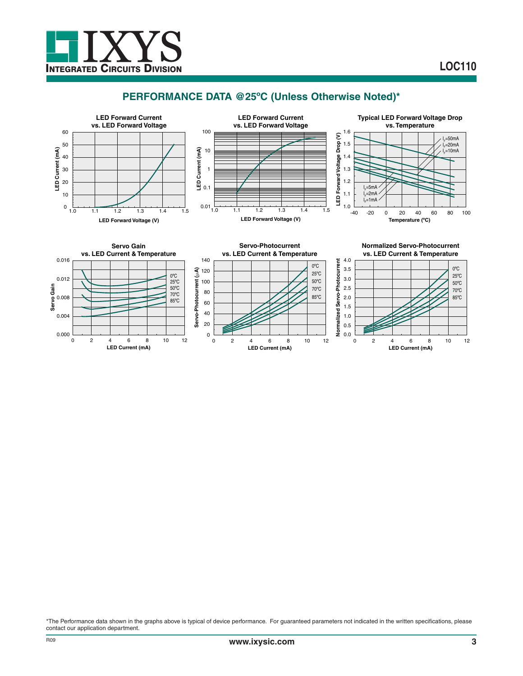

## **PERFORMANCE DATA @25ºC (Unless Otherwise Noted)\***



**LED Current (mA)**

\*The Performance data shown in the graphs above is typical of device performance. For guaranteed parameters not indicated in the written specifications, please contact our application department.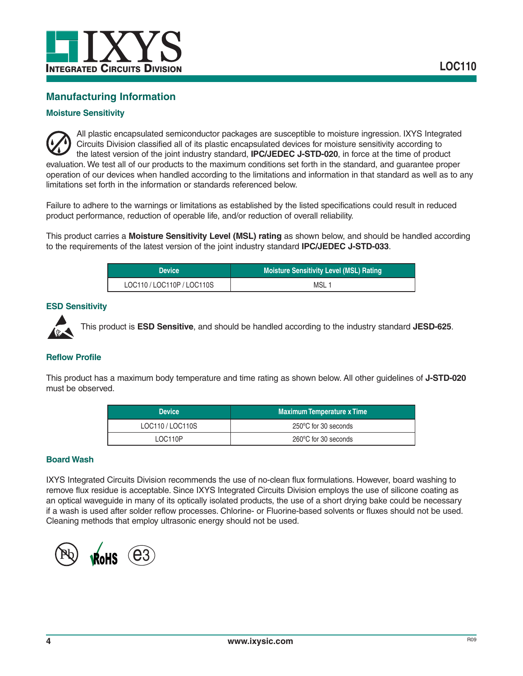

## **Manufacturing Information**

### **Moisture Sensitivity**

All plastic encapsulated semiconductor packages are susceptible to moisture ingression. IXYS Integrated Circuits Division classified all of its plastic encapsulated devices for moisture sensitivity according to the latest version of the joint industry standard, **IPC/JEDEC J-STD-020**, in force at the time of product evaluation. We test all of our products to the maximum conditions set forth in the standard, and guarantee proper operation of our devices when handled according to the limitations and information in that standard as well as to any limitations set forth in the information or standards referenced below.

Failure to adhere to the warnings or limitations as established by the listed specifications could result in reduced product performance, reduction of operable life, and/or reduction of overall reliability.

This product carries a **Moisture Sensitivity Level (MSL) rating** as shown below, and should be handled according to the requirements of the latest version of the joint industry standard **IPC/JEDEC J-STD-033**.

| <b>Device</b>          | Moisture Sensitivity Level (MSL) Rating |
|------------------------|-----------------------------------------|
| LOC110/LOC110P/LOC110S | MSL 1                                   |

#### **ESD Sensitivity**



This product is **ESD Sensitive**, and should be handled according to the industry standard **JESD-625**.

#### **Reflow Profile**

This product has a maximum body temperature and time rating as shown below. All other guidelines of **J-STD-020** must be observed.

| <b>Device</b>  | <b>Maximum Temperature x Time</b> |
|----------------|-----------------------------------|
| LOC110/LOC110S | 250°C for 30 seconds              |
| LOC110P        | 260°C for 30 seconds              |

#### **Board Wash**

IXYS Integrated Circuits Division recommends the use of no-clean flux formulations. However, board washing to remove flux residue is acceptable. Since IXYS Integrated Circuits Division employs the use of silicone coating as an optical waveguide in many of its optically isolated products, the use of a short drying bake could be necessary if a wash is used after solder reflow processes. Chlorine- or Fluorine-based solvents or fluxes should not be used. Cleaning methods that employ ultrasonic energy should not be used.

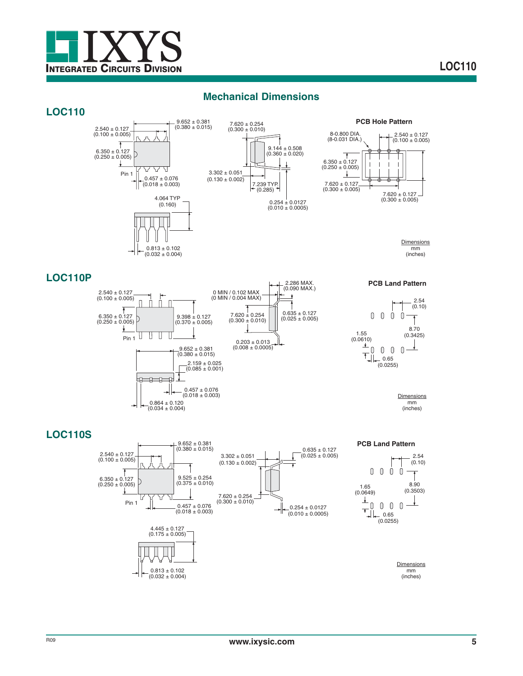

## **Mechanical Dimensions**









**Dimensions** mm (inches)

2.54

 $\overline{1}$ 

 $\frac{1}{\sqrt{2}}$ 

## **LOC110P**



## **LOC110S**